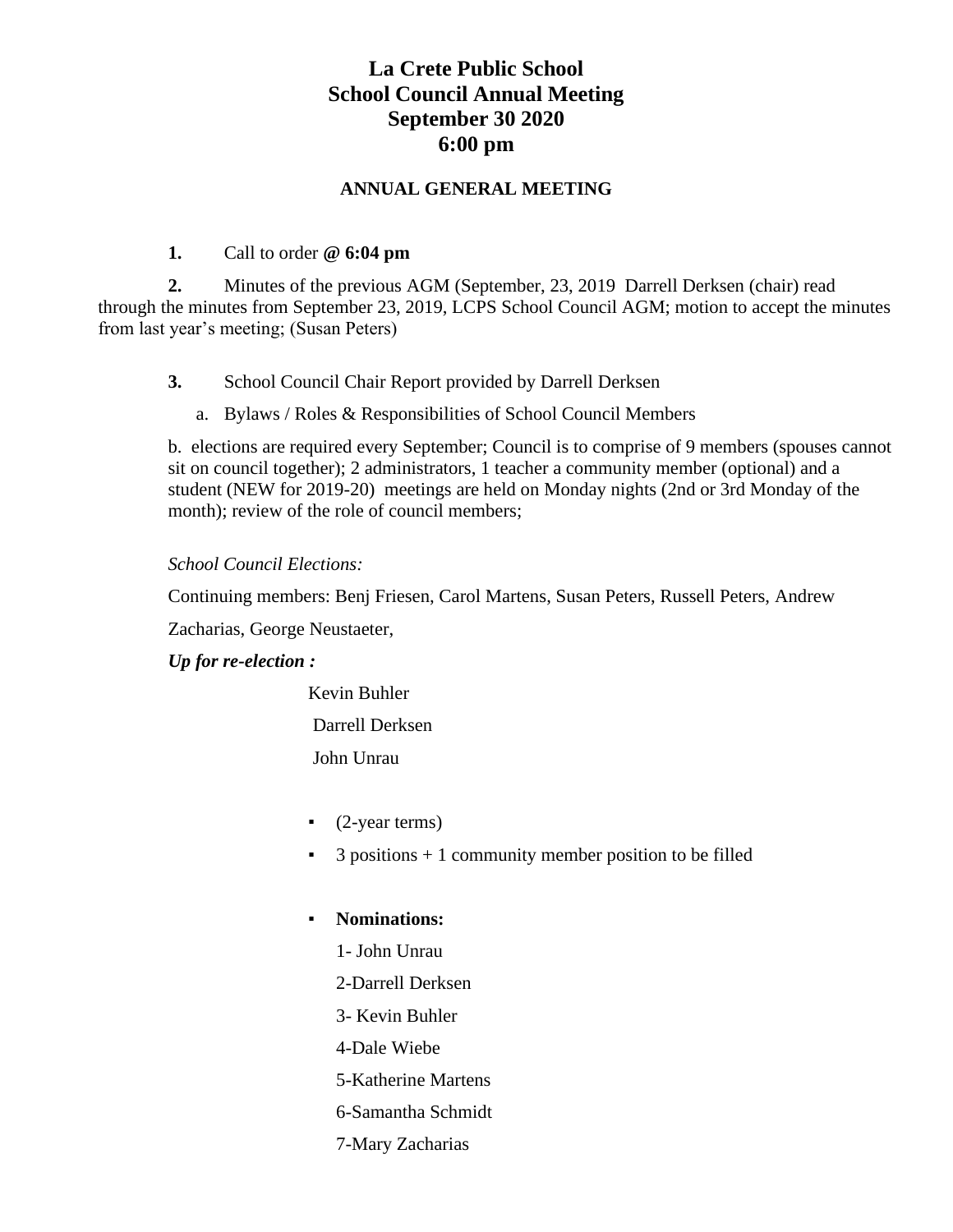# **La Crete Public School School Council Annual Meeting September 30 2020 6:00 pm**

## **ANNUAL GENERAL MEETING**

**1.** Call to order **@ 6:04 pm** 

**2.** Minutes of the previous AGM (September, 23, 2019 Darrell Derksen (chair) read through the minutes from September 23, 2019, LCPS School Council AGM; motion to accept the minutes from last year's meeting; (Susan Peters)

- **3.** School Council Chair Report provided by Darrell Derksen
	- a. Bylaws / Roles & Responsibilities of School Council Members

b. elections are required every September; Council is to comprise of 9 members (spouses cannot sit on council together); 2 administrators, 1 teacher a community member (optional) and a student (NEW for 2019-20) meetings are held on Monday nights (2nd or 3rd Monday of the month); review of the role of council members;

## *School Council Elections:*

Continuing members: Benj Friesen, Carol Martens, Susan Peters, Russell Peters, Andrew

Zacharias, George Neustaeter,

# *Up for re-election :*

 Kevin Buhler Darrell Derksen John Unrau

- $(2$ -year terms)
- $\bullet$  3 positions  $+1$  community member position to be filled
- **Nominations:** 
	- 1- John Unrau
	- 2-Darrell Derksen
	- 3- Kevin Buhler
	- 4-Dale Wiebe
	- 5-Katherine Martens
	- 6-Samantha Schmidt
	- 7-Mary Zacharias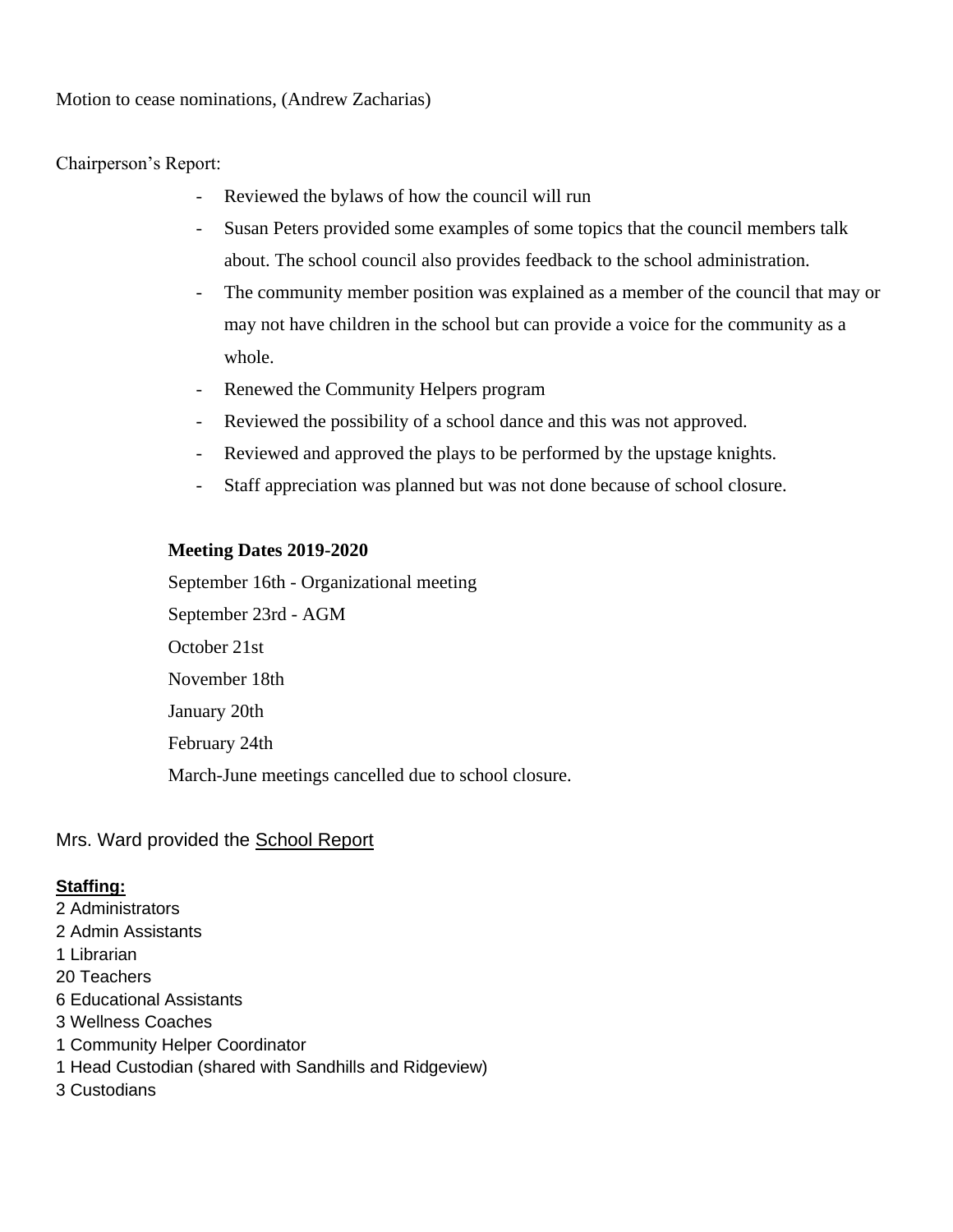Motion to cease nominations, (Andrew Zacharias)

Chairperson's Report:

- Reviewed the bylaws of how the council will run
- Susan Peters provided some examples of some topics that the council members talk about. The school council also provides feedback to the school administration.
- The community member position was explained as a member of the council that may or may not have children in the school but can provide a voice for the community as a whole.
- Renewed the Community Helpers program
- Reviewed the possibility of a school dance and this was not approved.
- Reviewed and approved the plays to be performed by the upstage knights.
- Staff appreciation was planned but was not done because of school closure.

## **Meeting Dates 2019-2020**

September 16th - Organizational meeting September 23rd - AGM October 21st November 18th January 20th February 24th March-June meetings cancelled due to school closure.

# Mrs. Ward provided the **School Report**

#### **Staffing:**

2 Administrators 2 Admin Assistants 1 Librarian 20 Teachers 6 Educational Assistants 3 Wellness Coaches 1 Community Helper Coordinator 1 Head Custodian (shared with Sandhills and Ridgeview) 3 Custodians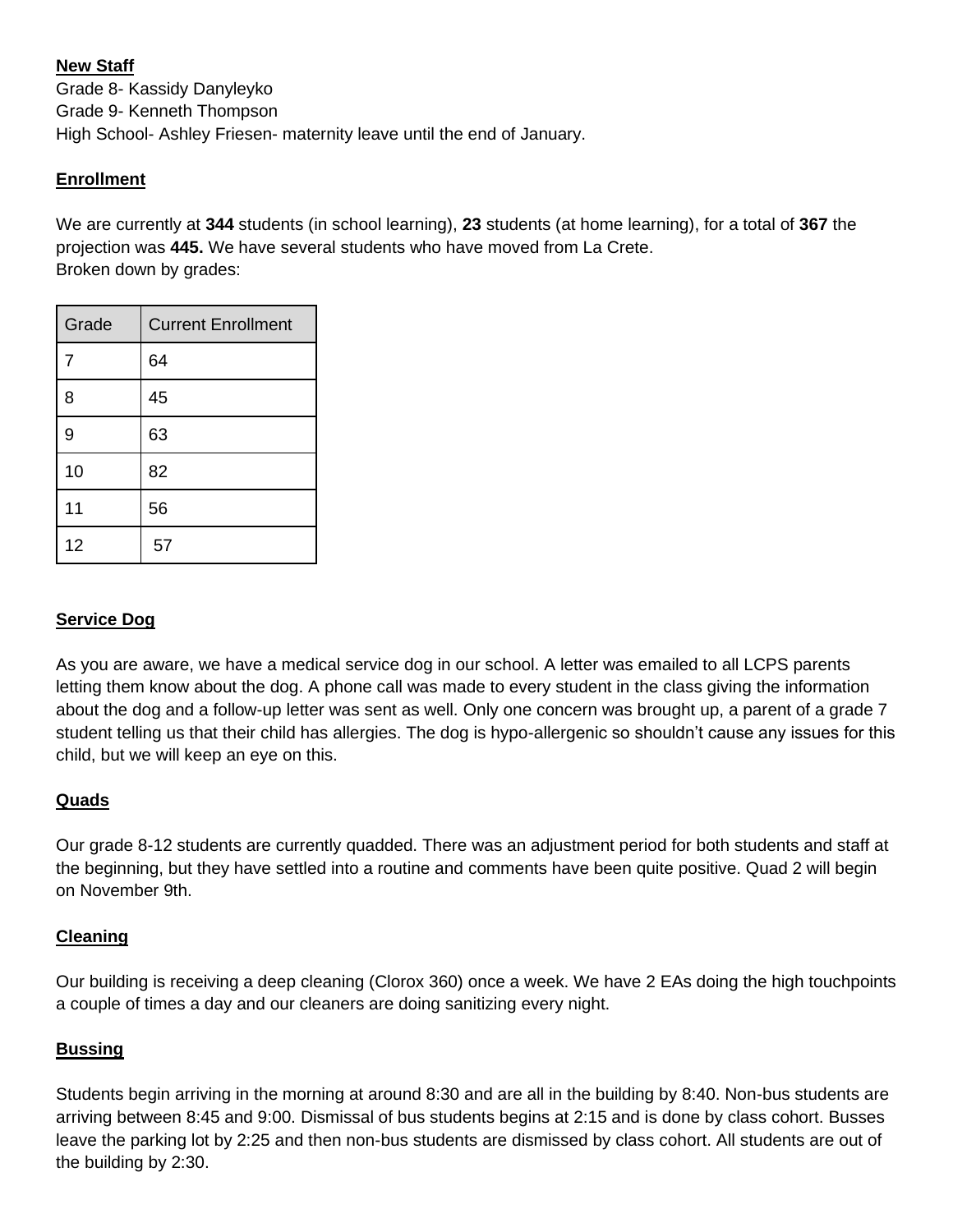# **New Staff**

Grade 8- Kassidy Danyleyko Grade 9- Kenneth Thompson High School- Ashley Friesen- maternity leave until the end of January.

# **Enrollment**

We are currently at **344** students (in school learning), **23** students (at home learning), for a total of **367** the projection was **445.** We have several students who have moved from La Crete. Broken down by grades:

| Grade | <b>Current Enrollment</b> |
|-------|---------------------------|
| 7     | 64                        |
| 8     | 45                        |
| 9     | 63                        |
| 10    | 82                        |
| 11    | 56                        |
| 12    | 57                        |

## **Service Dog**

As you are aware, we have a medical service dog in our school. A letter was emailed to all LCPS parents letting them know about the dog. A phone call was made to every student in the class giving the information about the dog and a follow-up letter was sent as well. Only one concern was brought up, a parent of a grade 7 student telling us that their child has allergies. The dog is hypo-allergenic so shouldn't cause any issues for this child, but we will keep an eye on this.

## **Quads**

Our grade 8-12 students are currently quadded. There was an adjustment period for both students and staff at the beginning, but they have settled into a routine and comments have been quite positive. Quad 2 will begin on November 9th.

## **Cleaning**

Our building is receiving a deep cleaning (Clorox 360) once a week. We have 2 EAs doing the high touchpoints a couple of times a day and our cleaners are doing sanitizing every night.

## **Bussing**

Students begin arriving in the morning at around 8:30 and are all in the building by 8:40. Non-bus students are arriving between 8:45 and 9:00. Dismissal of bus students begins at 2:15 and is done by class cohort. Busses leave the parking lot by 2:25 and then non-bus students are dismissed by class cohort. All students are out of the building by 2:30.